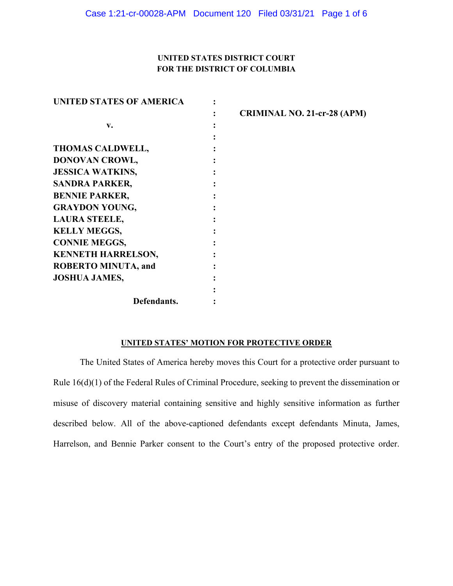## **UNITED STATES DISTRICT COURT FOR THE DISTRICT OF COLUMBIA**

| <b>UNITED STATES OF AMERICA</b> |                                    |
|---------------------------------|------------------------------------|
|                                 | <b>CRIMINAL NO. 21-cr-28 (APM)</b> |
| v.                              |                                    |
|                                 |                                    |
| <b>THOMAS CALDWELL,</b>         |                                    |
| DONOVAN CROWL,                  |                                    |
| <b>JESSICA WATKINS,</b>         |                                    |
| <b>SANDRA PARKER,</b>           |                                    |
| <b>BENNIE PARKER,</b>           |                                    |
| <b>GRAYDON YOUNG,</b>           |                                    |
| <b>LAURA STEELE,</b>            |                                    |
| <b>KELLY MEGGS,</b>             |                                    |
| <b>CONNIE MEGGS,</b>            |                                    |
| <b>KENNETH HARRELSON,</b>       |                                    |
| <b>ROBERTO MINUTA, and</b>      |                                    |
| <b>JOSHUA JAMES,</b>            |                                    |
|                                 |                                    |
| Defendants.                     |                                    |

### **UNITED STATES' MOTION FOR PROTECTIVE ORDER**

The United States of America hereby moves this Court for a protective order pursuant to Rule 16(d)(1) of the Federal Rules of Criminal Procedure, seeking to prevent the dissemination or misuse of discovery material containing sensitive and highly sensitive information as further described below. All of the above-captioned defendants except defendants Minuta, James, Harrelson, and Bennie Parker consent to the Court's entry of the proposed protective order.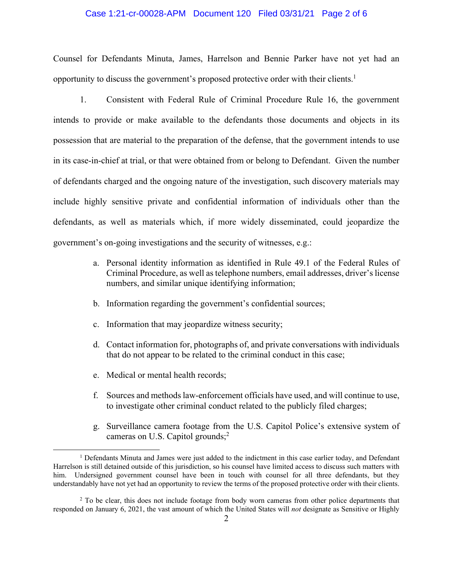#### Case 1:21-cr-00028-APM Document 120 Filed 03/31/21 Page 2 of 6

Counsel for Defendants Minuta, James, Harrelson and Bennie Parker have not yet had an opportunity to discuss the government's proposed protective order with their clients.1

1. Consistent with Federal Rule of Criminal Procedure Rule 16, the government intends to provide or make available to the defendants those documents and objects in its possession that are material to the preparation of the defense, that the government intends to use in its case-in-chief at trial, or that were obtained from or belong to Defendant. Given the number of defendants charged and the ongoing nature of the investigation, such discovery materials may include highly sensitive private and confidential information of individuals other than the defendants, as well as materials which, if more widely disseminated, could jeopardize the government's on-going investigations and the security of witnesses, e.g.:

- a. Personal identity information as identified in Rule 49.1 of the Federal Rules of Criminal Procedure, as well as telephone numbers, email addresses, driver's license numbers, and similar unique identifying information;
- b. Information regarding the government's confidential sources;
- c. Information that may jeopardize witness security;
- d. Contact information for, photographs of, and private conversations with individuals that do not appear to be related to the criminal conduct in this case;
- e. Medical or mental health records;
- f. Sources and methods law-enforcement officials have used, and will continue to use, to investigate other criminal conduct related to the publicly filed charges;
- g. Surveillance camera footage from the U.S. Capitol Police's extensive system of cameras on U.S. Capitol grounds; $^{2}$

<sup>&</sup>lt;sup>1</sup> Defendants Minuta and James were just added to the indictment in this case earlier today, and Defendant Harrelson is still detained outside of this jurisdiction, so his counsel have limited access to discuss such matters with him. Undersigned government counsel have been in touch with counsel for all three defendants, but they understandably have not yet had an opportunity to review the terms of the proposed protective order with their clients.

<sup>&</sup>lt;sup>2</sup> To be clear, this does not include footage from body worn cameras from other police departments that responded on January 6, 2021, the vast amount of which the United States will *not* designate as Sensitive or Highly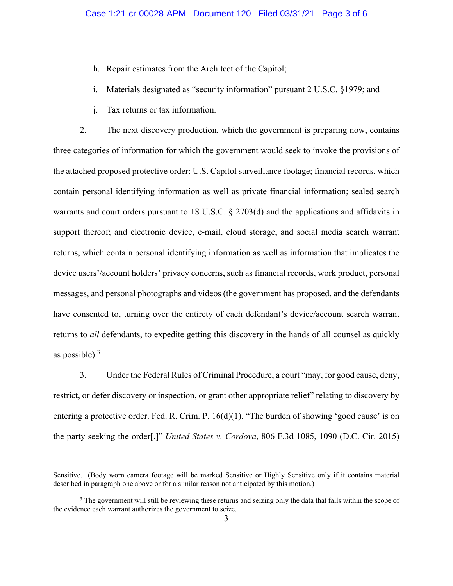- h. Repair estimates from the Architect of the Capitol;
- i. Materials designated as "security information" pursuant 2 U.S.C. §1979; and
- j. Tax returns or tax information.

2. The next discovery production, which the government is preparing now, contains three categories of information for which the government would seek to invoke the provisions of the attached proposed protective order: U.S. Capitol surveillance footage; financial records, which contain personal identifying information as well as private financial information; sealed search warrants and court orders pursuant to 18 U.S.C. § 2703(d) and the applications and affidavits in support thereof; and electronic device, e-mail, cloud storage, and social media search warrant returns, which contain personal identifying information as well as information that implicates the device users'/account holders' privacy concerns, such as financial records, work product, personal messages, and personal photographs and videos (the government has proposed, and the defendants have consented to, turning over the entirety of each defendant's device/account search warrant returns to *all* defendants, to expedite getting this discovery in the hands of all counsel as quickly as possible). $3$ 

3. Under the Federal Rules of Criminal Procedure, a court "may, for good cause, deny, restrict, or defer discovery or inspection, or grant other appropriate relief" relating to discovery by entering a protective order. Fed. R. Crim. P. 16(d)(1). "The burden of showing 'good cause' is on the party seeking the order[.]" *United States v. Cordova*, 806 F.3d 1085, 1090 (D.C. Cir. 2015)

Sensitive. (Body worn camera footage will be marked Sensitive or Highly Sensitive only if it contains material described in paragraph one above or for a similar reason not anticipated by this motion.)

<sup>&</sup>lt;sup>3</sup> The government will still be reviewing these returns and seizing only the data that falls within the scope of the evidence each warrant authorizes the government to seize.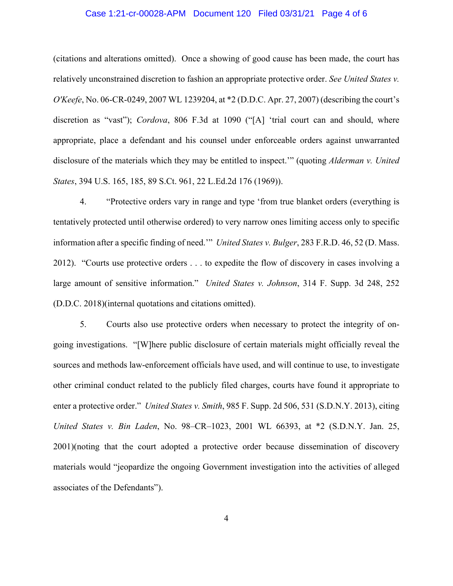#### Case 1:21-cr-00028-APM Document 120 Filed 03/31/21 Page 4 of 6

(citations and alterations omitted). Once a showing of good cause has been made, the court has relatively unconstrained discretion to fashion an appropriate protective order. *See United States v. O'Keefe*, No. 06-CR-0249, 2007 WL 1239204, at \*2 (D.D.C. Apr. 27, 2007) (describing the court's discretion as "vast"); *Cordova*, 806 F.3d at 1090 ("[A] 'trial court can and should, where appropriate, place a defendant and his counsel under enforceable orders against unwarranted disclosure of the materials which they may be entitled to inspect.'" (quoting *Alderman v. United States*, 394 U.S. 165, 185, 89 S.Ct. 961, 22 L.Ed.2d 176 (1969)).

4. "Protective orders vary in range and type 'from true blanket orders (everything is tentatively protected until otherwise ordered) to very narrow ones limiting access only to specific information after a specific finding of need.'" *United States v. Bulger*, 283 F.R.D. 46, 52 (D. Mass. 2012). "Courts use protective orders . . . to expedite the flow of discovery in cases involving a large amount of sensitive information." *United States v. Johnson*, 314 F. Supp. 3d 248, 252 (D.D.C. 2018)(internal quotations and citations omitted).

5. Courts also use protective orders when necessary to protect the integrity of ongoing investigations. "[W]here public disclosure of certain materials might officially reveal the sources and methods law-enforcement officials have used, and will continue to use, to investigate other criminal conduct related to the publicly filed charges, courts have found it appropriate to enter a protective order." *United States v. Smith*, 985 F. Supp. 2d 506, 531 (S.D.N.Y. 2013), citing *United States v. Bin Laden*, No. 98–CR–1023, 2001 WL 66393, at \*2 (S.D.N.Y. Jan. 25, 2001)(noting that the court adopted a protective order because dissemination of discovery materials would "jeopardize the ongoing Government investigation into the activities of alleged associates of the Defendants").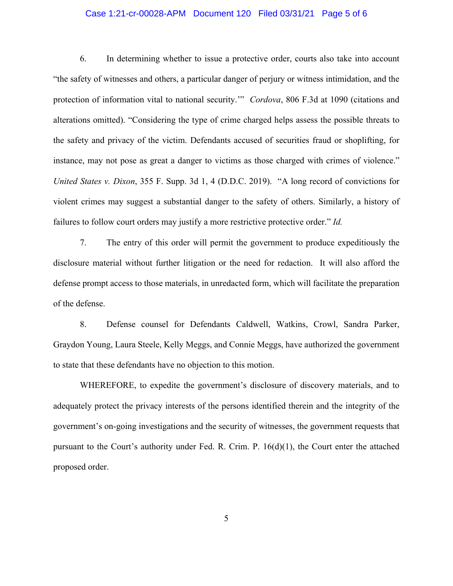#### Case 1:21-cr-00028-APM Document 120 Filed 03/31/21 Page 5 of 6

6. In determining whether to issue a protective order, courts also take into account "the safety of witnesses and others, a particular danger of perjury or witness intimidation, and the protection of information vital to national security.'" *Cordova*, 806 F.3d at 1090 (citations and alterations omitted). "Considering the type of crime charged helps assess the possible threats to the safety and privacy of the victim. Defendants accused of securities fraud or shoplifting, for instance, may not pose as great a danger to victims as those charged with crimes of violence." *United States v. Dixon*, 355 F. Supp. 3d 1, 4 (D.D.C. 2019). "A long record of convictions for violent crimes may suggest a substantial danger to the safety of others. Similarly, a history of failures to follow court orders may justify a more restrictive protective order." *Id.* 

7. The entry of this order will permit the government to produce expeditiously the disclosure material without further litigation or the need for redaction. It will also afford the defense prompt access to those materials, in unredacted form, which will facilitate the preparation of the defense.

8. Defense counsel for Defendants Caldwell, Watkins, Crowl, Sandra Parker, Graydon Young, Laura Steele, Kelly Meggs, and Connie Meggs, have authorized the government to state that these defendants have no objection to this motion.

WHEREFORE, to expedite the government's disclosure of discovery materials, and to adequately protect the privacy interests of the persons identified therein and the integrity of the government's on-going investigations and the security of witnesses, the government requests that pursuant to the Court's authority under Fed. R. Crim. P.  $16(d)(1)$ , the Court enter the attached proposed order.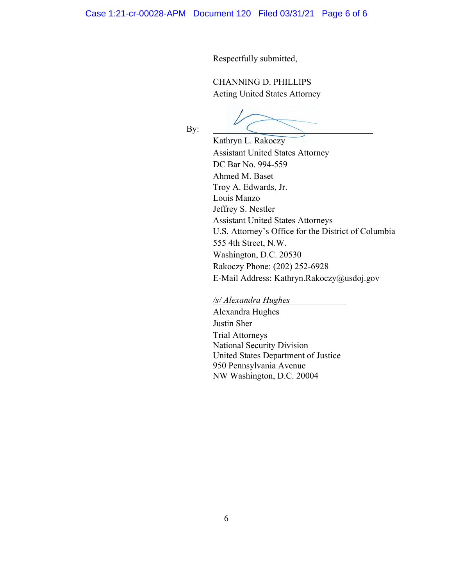Respectfully submitted,

CHANNING D. PHILLIPS Acting United States Attorney

By:

 Kathryn L. Rakoczy Assistant United States Attorney DC Bar No. 994-559 Ahmed M. Baset Troy A. Edwards, Jr. Louis Manzo Jeffrey S. Nestler Assistant United States Attorneys U.S. Attorney's Office for the District of Columbia 555 4th Street, N.W. Washington, D.C. 20530 Rakoczy Phone: (202) 252-6928 E-Mail Address: Kathryn.Rakoczy@usdoj.gov

*/s/ Alexandra Hughes* 

 Alexandra Hughes Justin Sher Trial Attorneys National Security Division United States Department of Justice 950 Pennsylvania Avenue NW Washington, D.C. 20004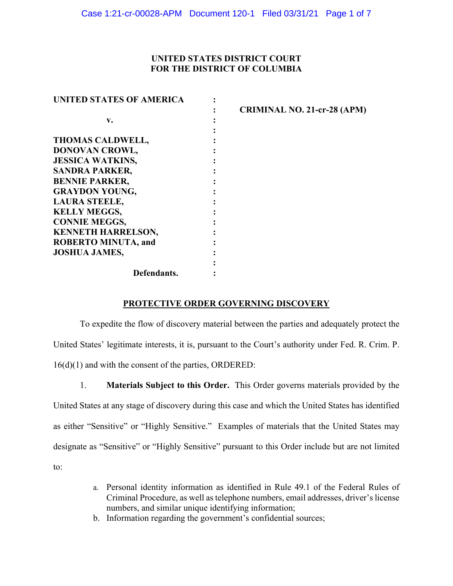## **UNITED STATES DISTRICT COURT FOR THE DISTRICT OF COLUMBIA**

| <b>UNITED STATES OF AMERICA</b> |                                    |
|---------------------------------|------------------------------------|
|                                 | <b>CRIMINAL NO. 21-cr-28 (APM)</b> |
| v.                              |                                    |
|                                 |                                    |
| <b>THOMAS CALDWELL,</b>         |                                    |
| DONOVAN CROWL,                  |                                    |
| <b>JESSICA WATKINS,</b>         |                                    |
| <b>SANDRA PARKER,</b>           |                                    |
| <b>BENNIE PARKER,</b>           |                                    |
| <b>GRAYDON YOUNG,</b>           |                                    |
| <b>LAURA STEELE,</b>            |                                    |
| <b>KELLY MEGGS,</b>             |                                    |
| <b>CONNIE MEGGS,</b>            |                                    |
| <b>KENNETH HARRELSON,</b>       |                                    |
| <b>ROBERTO MINUTA, and</b>      |                                    |
| <b>JOSHUA JAMES,</b>            |                                    |
|                                 |                                    |
| Defendants.                     |                                    |

### **PROTECTIVE ORDER GOVERNING DISCOVERY**

To expedite the flow of discovery material between the parties and adequately protect the United States' legitimate interests, it is, pursuant to the Court's authority under Fed. R. Crim. P. 16(d)(1) and with the consent of the parties, ORDERED:

1. **Materials Subject to this Order.** This Order governs materials provided by the United States at any stage of discovery during this case and which the United States has identified as either "Sensitive" or "Highly Sensitive." Examples of materials that the United States may designate as "Sensitive" or "Highly Sensitive" pursuant to this Order include but are not limited to:

- a. Personal identity information as identified in Rule 49.1 of the Federal Rules of Criminal Procedure, as well as telephone numbers, email addresses, driver's license numbers, and similar unique identifying information;
- b. Information regarding the government's confidential sources;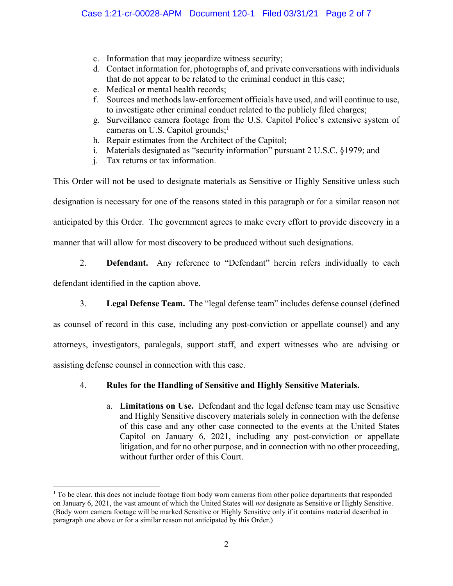- c. Information that may jeopardize witness security;
- d. Contact information for, photographs of, and private conversations with individuals that do not appear to be related to the criminal conduct in this case;
- e. Medical or mental health records;
- f. Sources and methods law-enforcement officials have used, and will continue to use, to investigate other criminal conduct related to the publicly filed charges;
- g. Surveillance camera footage from the U.S. Capitol Police's extensive system of cameras on U.S. Capitol grounds; $<sup>1</sup>$ </sup>
- h. Repair estimates from the Architect of the Capitol;
- i. Materials designated as "security information" pursuant 2 U.S.C. §1979; and
- j. Tax returns or tax information.

This Order will not be used to designate materials as Sensitive or Highly Sensitive unless such designation is necessary for one of the reasons stated in this paragraph or for a similar reason not anticipated by this Order. The government agrees to make every effort to provide discovery in a manner that will allow for most discovery to be produced without such designations.

# 2. **Defendant.** Any reference to "Defendant" herein refers individually to each

defendant identified in the caption above.

3. **Legal Defense Team.** The "legal defense team" includes defense counsel (defined

as counsel of record in this case, including any post-conviction or appellate counsel) and any attorneys, investigators, paralegals, support staff, and expert witnesses who are advising or assisting defense counsel in connection with this case.

# 4. **Rules for the Handling of Sensitive and Highly Sensitive Materials.**

a. **Limitations on Use.** Defendant and the legal defense team may use Sensitive and Highly Sensitive discovery materials solely in connection with the defense of this case and any other case connected to the events at the United States Capitol on January 6, 2021, including any post-conviction or appellate litigation, and for no other purpose, and in connection with no other proceeding, without further order of this Court.

<sup>&</sup>lt;sup>1</sup> To be clear, this does not include footage from body worn cameras from other police departments that responded on January 6, 2021, the vast amount of which the United States will *not* designate as Sensitive or Highly Sensitive. (Body worn camera footage will be marked Sensitive or Highly Sensitive only if it contains material described in paragraph one above or for a similar reason not anticipated by this Order.)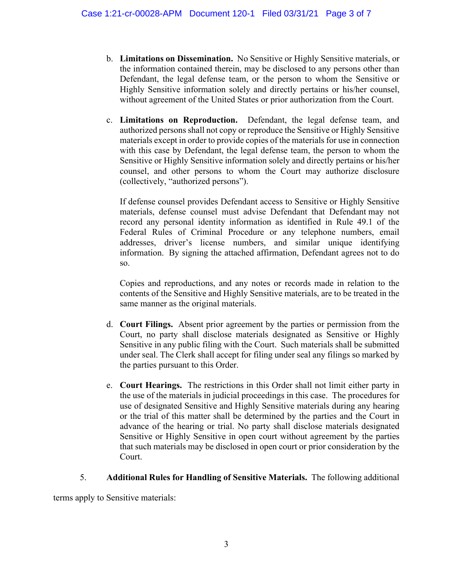- b. **Limitations on Dissemination.** No Sensitive or Highly Sensitive materials, or the information contained therein, may be disclosed to any persons other than Defendant, the legal defense team, or the person to whom the Sensitive or Highly Sensitive information solely and directly pertains or his/her counsel, without agreement of the United States or prior authorization from the Court.
- c. **Limitations on Reproduction.** Defendant, the legal defense team, and authorized persons shall not copy or reproduce the Sensitive or Highly Sensitive materials except in order to provide copies of the materials for use in connection with this case by Defendant, the legal defense team, the person to whom the Sensitive or Highly Sensitive information solely and directly pertains or his/her counsel, and other persons to whom the Court may authorize disclosure (collectively, "authorized persons").

If defense counsel provides Defendant access to Sensitive or Highly Sensitive materials, defense counsel must advise Defendant that Defendant may not record any personal identity information as identified in Rule 49.1 of the Federal Rules of Criminal Procedure or any telephone numbers, email addresses, driver's license numbers, and similar unique identifying information. By signing the attached affirmation, Defendant agrees not to do so.

Copies and reproductions, and any notes or records made in relation to the contents of the Sensitive and Highly Sensitive materials, are to be treated in the same manner as the original materials.

- d. **Court Filings.** Absent prior agreement by the parties or permission from the Court, no party shall disclose materials designated as Sensitive or Highly Sensitive in any public filing with the Court. Such materials shall be submitted under seal. The Clerk shall accept for filing under seal any filings so marked by the parties pursuant to this Order.
- e. **Court Hearings.** The restrictions in this Order shall not limit either party in the use of the materials in judicial proceedings in this case. The procedures for use of designated Sensitive and Highly Sensitive materials during any hearing or the trial of this matter shall be determined by the parties and the Court in advance of the hearing or trial. No party shall disclose materials designated Sensitive or Highly Sensitive in open court without agreement by the parties that such materials may be disclosed in open court or prior consideration by the Court.

# 5. **Additional Rules for Handling of Sensitive Materials.** The following additional

terms apply to Sensitive materials: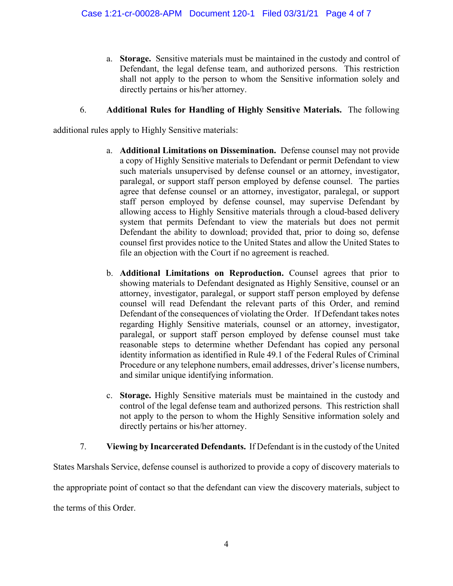a. **Storage.** Sensitive materials must be maintained in the custody and control of Defendant, the legal defense team, and authorized persons. This restriction shall not apply to the person to whom the Sensitive information solely and directly pertains or his/her attorney.

# 6. **Additional Rules for Handling of Highly Sensitive Materials.** The following

additional rules apply to Highly Sensitive materials:

- a. **Additional Limitations on Dissemination.** Defense counsel may not provide a copy of Highly Sensitive materials to Defendant or permit Defendant to view such materials unsupervised by defense counsel or an attorney, investigator, paralegal, or support staff person employed by defense counsel. The parties agree that defense counsel or an attorney, investigator, paralegal, or support staff person employed by defense counsel, may supervise Defendant by allowing access to Highly Sensitive materials through a cloud-based delivery system that permits Defendant to view the materials but does not permit Defendant the ability to download; provided that, prior to doing so, defense counsel first provides notice to the United States and allow the United States to file an objection with the Court if no agreement is reached.
- b. **Additional Limitations on Reproduction.** Counsel agrees that prior to showing materials to Defendant designated as Highly Sensitive, counsel or an attorney, investigator, paralegal, or support staff person employed by defense counsel will read Defendant the relevant parts of this Order, and remind Defendant of the consequences of violating the Order. If Defendant takes notes regarding Highly Sensitive materials, counsel or an attorney, investigator, paralegal, or support staff person employed by defense counsel must take reasonable steps to determine whether Defendant has copied any personal identity information as identified in Rule 49.1 of the Federal Rules of Criminal Procedure or any telephone numbers, email addresses, driver's license numbers, and similar unique identifying information.
- c. **Storage.** Highly Sensitive materials must be maintained in the custody and control of the legal defense team and authorized persons. This restriction shall not apply to the person to whom the Highly Sensitive information solely and directly pertains or his/her attorney.
- 7. **Viewing by Incarcerated Defendants.** If Defendant is in the custody of the United

States Marshals Service, defense counsel is authorized to provide a copy of discovery materials to the appropriate point of contact so that the defendant can view the discovery materials, subject to the terms of this Order.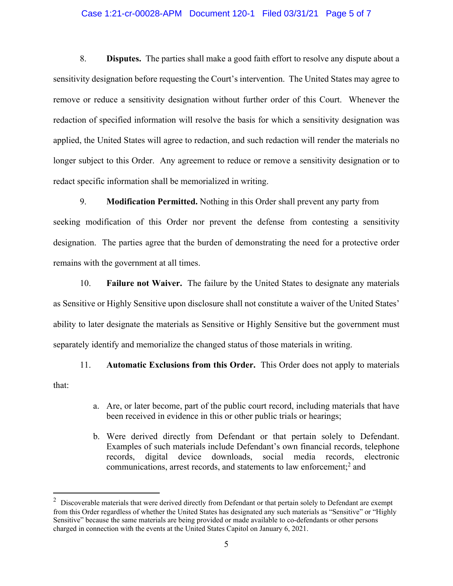#### Case 1:21-cr-00028-APM Document 120-1 Filed 03/31/21 Page 5 of 7

8. **Disputes.** The parties shall make a good faith effort to resolve any dispute about a sensitivity designation before requesting the Court's intervention. The United States may agree to remove or reduce a sensitivity designation without further order of this Court. Whenever the redaction of specified information will resolve the basis for which a sensitivity designation was applied, the United States will agree to redaction, and such redaction will render the materials no longer subject to this Order. Any agreement to reduce or remove a sensitivity designation or to redact specific information shall be memorialized in writing.

9. **Modification Permitted.** Nothing in this Order shall prevent any party from

seeking modification of this Order nor prevent the defense from contesting a sensitivity designation. The parties agree that the burden of demonstrating the need for a protective order remains with the government at all times.

10. **Failure not Waiver.** The failure by the United States to designate any materials as Sensitive or Highly Sensitive upon disclosure shall not constitute a waiver of the United States' ability to later designate the materials as Sensitive or Highly Sensitive but the government must separately identify and memorialize the changed status of those materials in writing.

11. **Automatic Exclusions from this Order.** This Order does not apply to materials that:

- a. Are, or later become, part of the public court record, including materials that have been received in evidence in this or other public trials or hearings;
- b. Were derived directly from Defendant or that pertain solely to Defendant. Examples of such materials include Defendant's own financial records, telephone records, digital device downloads, social media records, electronic communications, arrest records, and statements to law enforcement;<sup>2</sup> and

 $2$  Discoverable materials that were derived directly from Defendant or that pertain solely to Defendant are exempt from this Order regardless of whether the United States has designated any such materials as "Sensitive" or "Highly Sensitive" because the same materials are being provided or made available to co-defendants or other persons charged in connection with the events at the United States Capitol on January 6, 2021.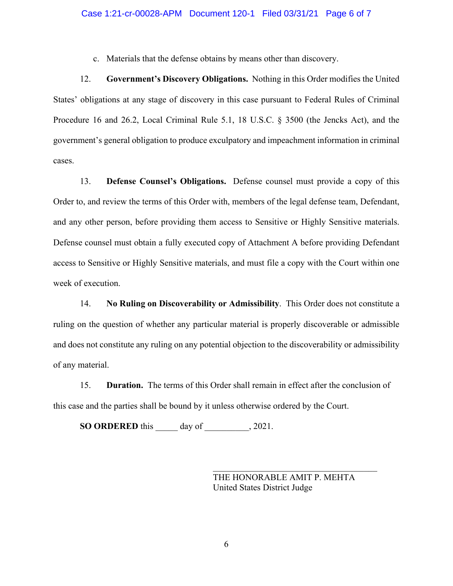c. Materials that the defense obtains by means other than discovery.

12. **Government's Discovery Obligations.** Nothing in this Order modifies the United States' obligations at any stage of discovery in this case pursuant to Federal Rules of Criminal Procedure 16 and 26.2, Local Criminal Rule 5.1, 18 U.S.C. § 3500 (the Jencks Act), and the government's general obligation to produce exculpatory and impeachment information in criminal cases.

13. **Defense Counsel's Obligations.** Defense counsel must provide a copy of this Order to, and review the terms of this Order with, members of the legal defense team, Defendant, and any other person, before providing them access to Sensitive or Highly Sensitive materials. Defense counsel must obtain a fully executed copy of Attachment A before providing Defendant access to Sensitive or Highly Sensitive materials, and must file a copy with the Court within one week of execution.

14. **No Ruling on Discoverability or Admissibility**. This Order does not constitute a ruling on the question of whether any particular material is properly discoverable or admissible and does not constitute any ruling on any potential objection to the discoverability or admissibility of any material.

15. **Duration.** The terms of this Order shall remain in effect after the conclusion of this case and the parties shall be bound by it unless otherwise ordered by the Court.

**SO ORDERED** this day of , 2021.

THE HONORABLE AMIT P. MEHTA United States District Judge